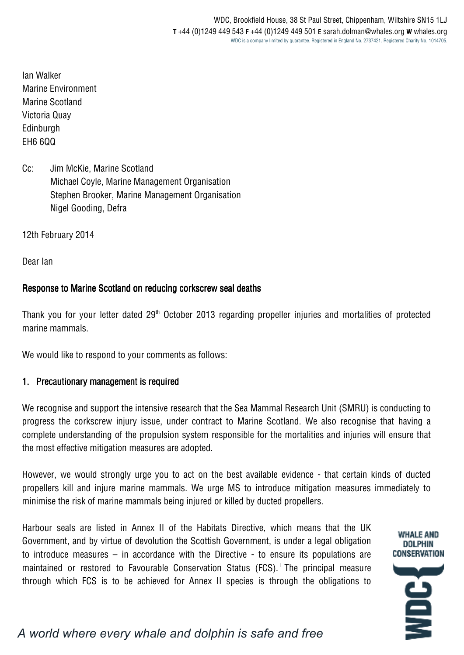Ian Walker Marine Environment Marine Scotland Victoria Quay Edinburgh EH6 6QQ

Cc: Jim McKie, Marine Scotland Michael Coyle, Marine Management Organisation Stephen Brooker, Marine Management Organisation Nigel Gooding, Defra

12th February 2014

Dear Ian

#### Response to Marine Scotland on reducing corkscrew seal deaths

Thank you for your letter dated 29<sup>th</sup> October 2013 regarding propeller injuries and mortalities of protected marine mammals.

We would like to respond to your comments as follows:

#### 1. Precautionary management is required

We recognise and support the intensive research that the Sea Mammal Research Unit (SMRU) is conducting to progress the corkscrew injury issue, under contract to Marine Scotland. We also recognise that having a complete understanding of the propulsion system responsible for the mortalities and injuries will ensure that the most effective mitigation measures are adopted.

However, we would strongly urge you to act on the best available evidence - that certain kinds of ducted propellers kill and injure marine mammals. We urge MS to introduce mitigation measures immediately to minimise the risk of marine mammals being injured or killed by ducted propellers.

Harbour seals are listed in Annex II of the Habitats Directive, which means that the UK Government, and by virtue of devolution the Scottish Government, is under a legal obligation to introduce measures – in accordance with the Directive - to ensure its populations are maintained or restored to Favourable Conservation Status (FCS).<sup>1</sup> The principal measure through which FCS is to be achieved for Annex II species is through the obligations to

# *A world where every whale and dolphin is safe and free*

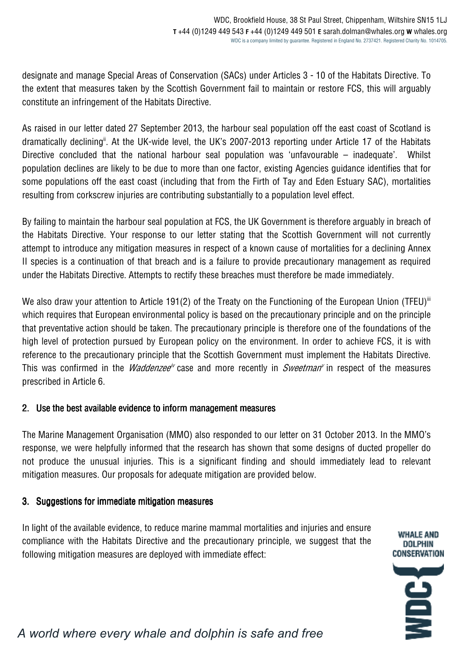designate and manage Special Areas of Conservation (SACs) under Articles 3 - 10 of the Habitats Directive. To the extent that measures taken by the Scottish Government fail to maintain or restore FCS, this will arguably constitute an infringement of the Habitats Directive.

As raised in our letter dated 27 September 2013, the harbour seal population off the east coast of Scotland is dramatically declining<sup>it</sup>. At the UK-wide level, the UK's 2007-2013 reporting under Article 17 of the Habitats Directive concluded that the national harbour seal population was 'unfavourable – inadequate'. Whilst population declines are likely to be due to more than one factor, existing Agencies guidance identifies that for some populations off the east coast (including that from the Firth of Tay and Eden Estuary SAC), mortalities resulting from corkscrew injuries are contributing substantially to a population level effect.

By failing to maintain the harbour seal population at FCS, the UK Government is therefore arguably in breach of the Habitats Directive. Your response to our letter stating that the Scottish Government will not currently attempt to introduce any mitigation measures in respect of a known cause of mortalities for a declining Annex II species is a continuation of that breach and is a failure to provide precautionary management as required under the Habitats Directive. Attempts to rectify these breaches must therefore be made immediately.

We also draw your attention to Article 191(2) of the Treaty on the Functioning of the European Union (TFEU)<sup>iii</sup> which requires that European environmental policy is based on the precautionary principle and on the principle that preventative action should be taken. The precautionary principle is therefore one of the foundations of the high level of protection pursued by European policy on the environment. In order to achieve FCS, it is with reference to the precautionary principle that the Scottish Government must implement the Habitats Directive. This was confirmed in the *Waddenzee<sup>iv</sup>* case and more recently in *Sweetman*<sup>v</sup> in respect of the measures prescribed in Article 6.

## 2. Use the best available evidence to inform management measures

The Marine Management Organisation (MMO) also responded to our letter on 31 October 2013. In the MMO's response, we were helpfully informed that the research has shown that some designs of ducted propeller do not produce the unusual injuries. This is a significant finding and should immediately lead to relevant mitigation measures. Our proposals for adequate mitigation are provided below.

### 3. Suggestions for immediate mitigation measures

In light of the available evidence, to reduce marine mammal mortalities and injuries and ensure compliance with the Habitats Directive and the precautionary principle, we suggest that the following mitigation measures are deployed with immediate effect:

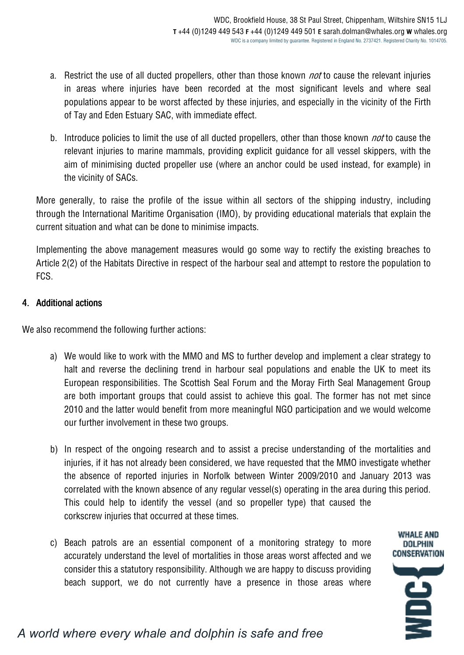- a. Restrict the use of all ducted propellers, other than those known *not* to cause the relevant injuries in areas where injuries have been recorded at the most significant levels and where seal populations appear to be worst affected by these injuries, and especially in the vicinity of the Firth of Tay and Eden Estuary SAC, with immediate effect.
- b. Introduce policies to limit the use of all ducted propellers, other than those known *not* to cause the relevant injuries to marine mammals, providing explicit guidance for all vessel skippers, with the aim of minimising ducted propeller use (where an anchor could be used instead, for example) in the vicinity of SACs.

More generally, to raise the profile of the issue within all sectors of the shipping industry, including through the International Maritime Organisation (IMO), by providing educational materials that explain the current situation and what can be done to minimise impacts.

Implementing the above management measures would go some way to rectify the existing breaches to Article 2(2) of the Habitats Directive in respect of the harbour seal and attempt to restore the population to FCS.

## 4. Additional actions

We also recommend the following further actions:

- a) We would like to work with the MMO and MS to further develop and implement a clear strategy to halt and reverse the declining trend in harbour seal populations and enable the UK to meet its European responsibilities. The Scottish Seal Forum and the Moray Firth Seal Management Group are both important groups that could assist to achieve this goal. The former has not met since 2010 and the latter would benefit from more meaningful NGO participation and we would welcome our further involvement in these two groups.
- b) In respect of the ongoing research and to assist a precise understanding of the mortalities and injuries, if it has not already been considered, we have requested that the MMO investigate whether the absence of reported injuries in Norfolk between Winter 2009/2010 and January 2013 was correlated with the known absence of any regular vessel(s) operating in the area during this period. This could help to identify the vessel (and so propeller type) that caused the corkscrew injuries that occurred at these times.

**WHALE AND** DOLPHIN **CONSERVATION** 

É

c) Beach patrols are an essential component of a monitoring strategy to more accurately understand the level of mortalities in those areas worst affected and we consider this a statutory responsibility. Although we are happy to discuss providing beach support, we do not currently have a presence in those areas where

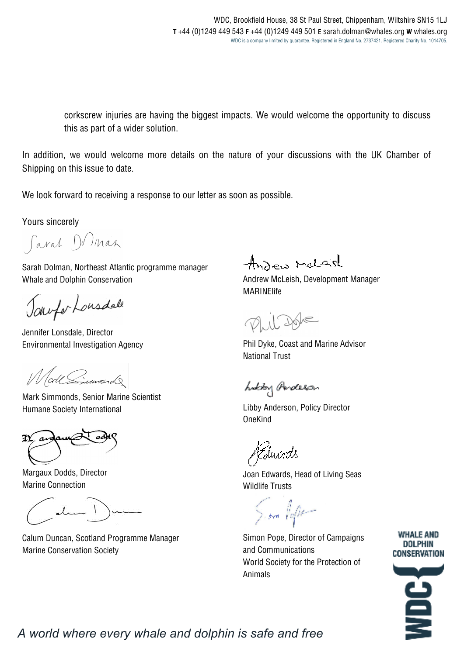corkscrew injuries are having the biggest impacts. We would welcome the opportunity to discuss this as part of a wider solution.

In addition, we would welcome more details on the nature of your discussions with the UK Chamber of Shipping on this issue to date.

We look forward to receiving a response to our letter as soon as possible.

Yours sincerely

Caral Doman

Sarah Dolman, Northeast Atlantic programme manager Whale and Dolphin Conservation

Townfor Lousdale

Jennifer Lonsdale, Director Environmental Investigation Agency

Woll Simmond

Mark Simmonds, Senior Marine Scientist Humane Society International

X)

Margaux Dodds, Director Marine Connection

Calum Duncan, Scotland Programme Manager Marine Conservation Society

Ansen ralasl

Andrew McLeish, Development Manager MARINElife

Dyplus

Phil Dyke, Coast and Marine Advisor National Trust

holdry Anderson

Libby Anderson, Policy Director OneKind

Juxrds

Joan Edwards, Head of Living Seas Wildlife Trusts

Sion Poper

Simon Pope, Director of Campaigns and Communications World Society for the Protection of Animals





*A world where every whale and dolphin is safe and free*